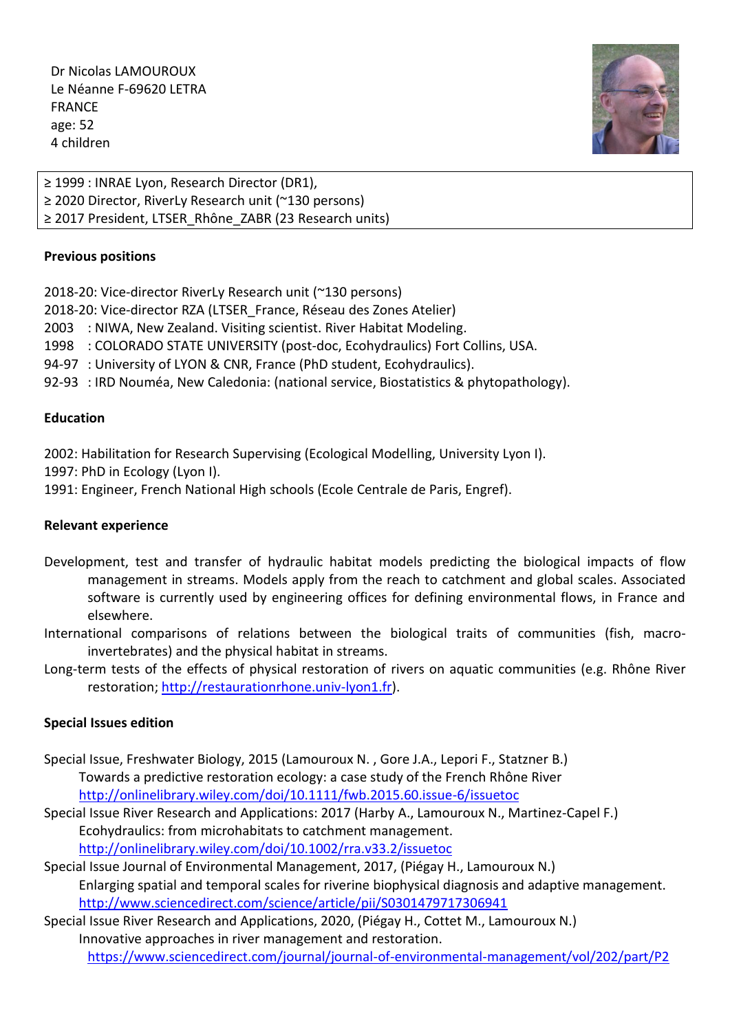Dr Nicolas LAMOUROUX Le Néanne F-69620 LETRA FRANCE age: 52 4 children



≥ 1999 : INRAE Lyon, Research Director (DR1), ≥ 2020 Director, RiverLy Research unit (~130 persons) ≥ 2017 President, LTSER\_Rhône\_ZABR (23 Research units)

# **Previous positions**

2018-20: Vice-director RiverLy Research unit (~130 persons)

2018-20: Vice-director RZA (LTSER\_France, Réseau des Zones Atelier)

2003 : NIWA, New Zealand. Visiting scientist. River Habitat Modeling.

1998 : COLORADO STATE UNIVERSITY (post-doc, Ecohydraulics) Fort Collins, USA.

94-97 : University of LYON & CNR, France (PhD student, Ecohydraulics).

92-93 : IRD Nouméa, New Caledonia: (national service, Biostatistics & phytopathology).

## **Education**

2002: Habilitation for Research Supervising (Ecological Modelling, University Lyon I).

1997: PhD in Ecology (Lyon I).

1991: Engineer, French National High schools (Ecole Centrale de Paris, Engref).

# **Relevant experience**

- Development, test and transfer of hydraulic habitat models predicting the biological impacts of flow management in streams. Models apply from the reach to catchment and global scales. Associated software is currently used by engineering offices for defining environmental flows, in France and elsewhere.
- International comparisons of relations between the biological traits of communities (fish, macroinvertebrates) and the physical habitat in streams.
- Long-term tests of the effects of physical restoration of rivers on aquatic communities (e.g. Rhône River restoration; [http://restaurationrhone.univ-lyon1.fr\)](http://restaurationrhone.univ-lyon1.fr/).

# **Special Issues edition**

- Special Issue, Freshwater Biology, 2015 (Lamouroux N. , Gore J.A., Lepori F., Statzner B.) Towards a predictive restoration ecology: a case study of the French Rhône River <http://onlinelibrary.wiley.com/doi/10.1111/fwb.2015.60.issue-6/issuetoc>
- Special Issue River Research and Applications: 2017 (Harby A., Lamouroux N., Martinez-Capel F.) Ecohydraulics: from microhabitats to catchment management. <http://onlinelibrary.wiley.com/doi/10.1002/rra.v33.2/issuetoc>

Special Issue Journal of Environmental Management, 2017, (Piégay H., Lamouroux N.) Enlarging spatial and temporal scales for riverine biophysical diagnosis and adaptive management. <http://www.sciencedirect.com/science/article/pii/S0301479717306941>

Special Issue River Research and Applications, 2020, (Piégay H., Cottet M., Lamouroux N.) Innovative approaches in river management and restoration. <https://www.sciencedirect.com/journal/journal-of-environmental-management/vol/202/part/P2>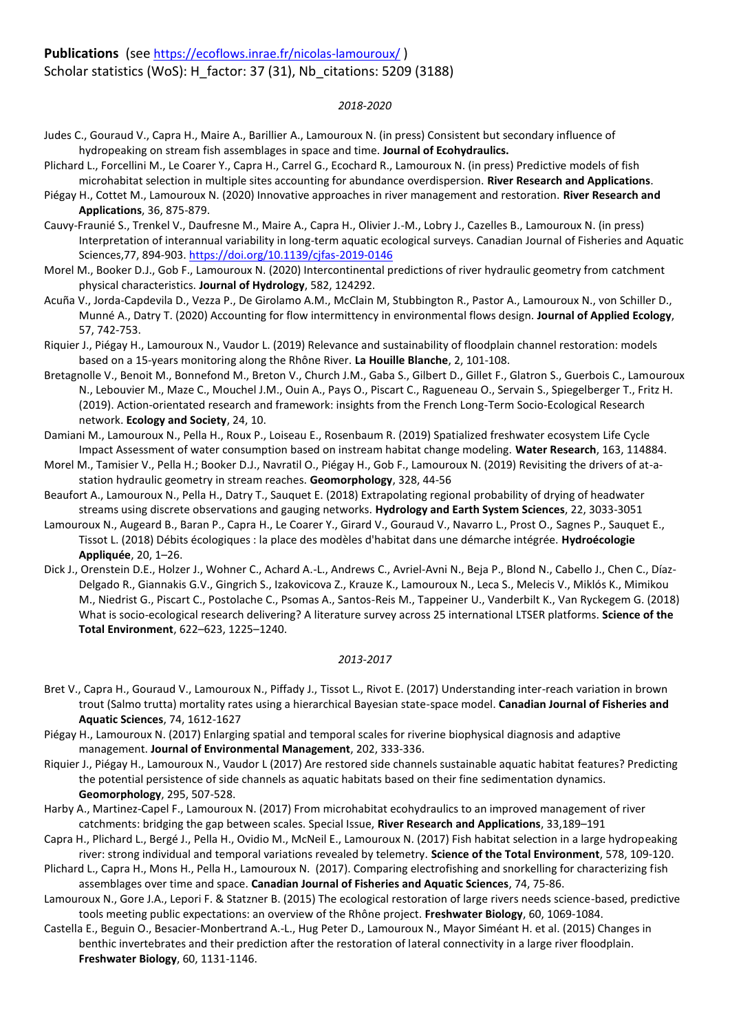**Publications** (see <https://ecoflows.inrae.fr/nicolas-lamouroux/> )

### Scholar statistics (WoS): H\_factor: 37 (31), Nb\_citations: 5209 (3188)

### *2018-2020*

- Judes C., Gouraud V., Capra H., Maire A., Barillier A., Lamouroux N. (in press) Consistent but secondary influence of hydropeaking on stream fish assemblages in space and time. **Journal of Ecohydraulics.**
- Plichard L., Forcellini M., Le Coarer Y., Capra H., Carrel G., Ecochard R., Lamouroux N. (in press) Predictive models of fish microhabitat selection in multiple sites accounting for abundance overdispersion. **River Research and Applications**.
- Piégay H., Cottet M., Lamouroux N. (2020) Innovative approaches in river management and restoration. **River Research and Applications**, 36, 875-879.
- Cauvy-Fraunié S., Trenkel V., Daufresne M., Maire A., Capra H., Olivier J.-M., Lobry J., Cazelles B., Lamouroux N. (in press) Interpretation of interannual variability in long-term aquatic ecological surveys. Canadian Journal of Fisheries and Aquatic Sciences,77, 894-903[. https://doi.org/10.1139/cjfas-2019-0146](https://doi.org/10.1139/cjfas-2019-0146)
- Morel M., Booker D.J., Gob F., Lamouroux N. (2020) Intercontinental predictions of river hydraulic geometry from catchment physical characteristics. **Journal of Hydrology**, 582, 124292.
- Acuña V., Jorda-Capdevila D., Vezza P., De Girolamo A.M., McClain M, Stubbington R., Pastor A., Lamouroux N., von Schiller D., Munné A., Datry T. (2020) Accounting for flow intermittency in environmental flows design. **Journal of Applied Ecology**, 57, 742-753.
- Riquier J., Piégay H., Lamouroux N., Vaudor L. (2019) Relevance and sustainability of floodplain channel restoration: models based on a 15-years monitoring along the Rhône River. **La Houille Blanche**, 2, 101-108.
- Bretagnolle V., Benoit M., Bonnefond M., Breton V., Church J.M., Gaba S., Gilbert D., Gillet F., Glatron S., Guerbois C., Lamouroux N., Lebouvier M., Maze C., Mouchel J.M., Ouin A., Pays O., Piscart C., Ragueneau O., Servain S., Spiegelberger T., Fritz H. (2019). Action-orientated research and framework: insights from the French Long-Term Socio-Ecological Research network. **Ecology and Society**, 24, 10.
- Damiani M., Lamouroux N., Pella H., Roux P., Loiseau E., Rosenbaum R. (2019) Spatialized freshwater ecosystem Life Cycle Impact Assessment of water consumption based on instream habitat change modeling. **Water Research**, 163, 114884.
- Morel M., Tamisier V., Pella H.; Booker D.J., Navratil O., Piégay H., Gob F., Lamouroux N. (2019) Revisiting the drivers of at-astation hydraulic geometry in stream reaches. **Geomorphology**, 328, 44-56
- Beaufort A., Lamouroux N., Pella H., Datry T., Sauquet E. (2018) Extrapolating regional probability of drying of headwater streams using discrete observations and gauging networks. **Hydrology and Earth System Sciences**, 22, 3033-3051
- Lamouroux N., Augeard B., Baran P., Capra H., Le Coarer Y., Girard V., Gouraud V., Navarro L., Prost O., Sagnes P., Sauquet E., Tissot L. (2018) Débits écologiques : la place des modèles d'habitat dans une démarche intégrée. **Hydroécologie Appliquée**, 20, 1–26.
- Dick J., Orenstein D.E., Holzer J., Wohner C., Achard A.-L., Andrews C., Avriel-Avni N., Beja P., Blond N., Cabello J., Chen C., Díaz-Delgado R., Giannakis G.V., Gingrich S., Izakovicova Z., Krauze K., Lamouroux N., Leca S., Melecis V., Miklós K., Mimikou M., Niedrist G., Piscart C., Postolache C., Psomas A., Santos-Reis M., Tappeiner U., Vanderbilt K., Van Ryckegem G. (2018) What is socio-ecological research delivering? A literature survey across 25 international LTSER platforms. **Science of the Total Environment**, 622–623, 1225–1240.

#### *2013-2017*

- Bret V., Capra H., Gouraud V., Lamouroux N., Piffady J., Tissot L., Rivot E. (2017) Understanding inter-reach variation in brown trout (Salmo trutta) mortality rates using a hierarchical Bayesian state-space model. **Canadian Journal of Fisheries and Aquatic Sciences**, 74, 1612-1627
- Piégay H., Lamouroux N. (2017) Enlarging spatial and temporal scales for riverine biophysical diagnosis and adaptive management. **Journal of Environmental Management**, 202, 333-336.
- Riquier J., Piégay H., Lamouroux N., Vaudor L (2017) Are restored side channels sustainable aquatic habitat features? Predicting the potential persistence of side channels as aquatic habitats based on their fine sedimentation dynamics. **Geomorphology**, 295, 507-528.
- Harby A., Martinez-Capel F., Lamouroux N. (2017) From microhabitat ecohydraulics to an improved management of river catchments: bridging the gap between scales. Special Issue, **River Research and Applications**, 33,189–191
- Capra H., Plichard L., Bergé J., Pella H., Ovidio M., McNeil E., Lamouroux N. (2017) Fish habitat selection in a large hydropeaking river: strong individual and temporal variations revealed by telemetry. **Science of the Total Environment**, 578, 109-120.
- Plichard L., Capra H., Mons H., Pella H., Lamouroux N. (2017). Comparing electrofishing and snorkelling for characterizing fish assemblages over time and space. **Canadian Journal of Fisheries and Aquatic Sciences**, 74, 75-86.
- Lamouroux N., Gore J.A., Lepori F. & Statzner B. (2015) The ecological restoration of large rivers needs science-based, predictive tools meeting public expectations: an overview of the Rhône project. **Freshwater Biology**, 60, 1069-1084.
- Castella E., Beguin O., Besacier-Monbertrand A.-L., Hug Peter D., Lamouroux N., Mayor Siméant H. et al. (2015) Changes in benthic invertebrates and their prediction after the restoration of lateral connectivity in a large river floodplain. **Freshwater Biology**, 60, 1131-1146.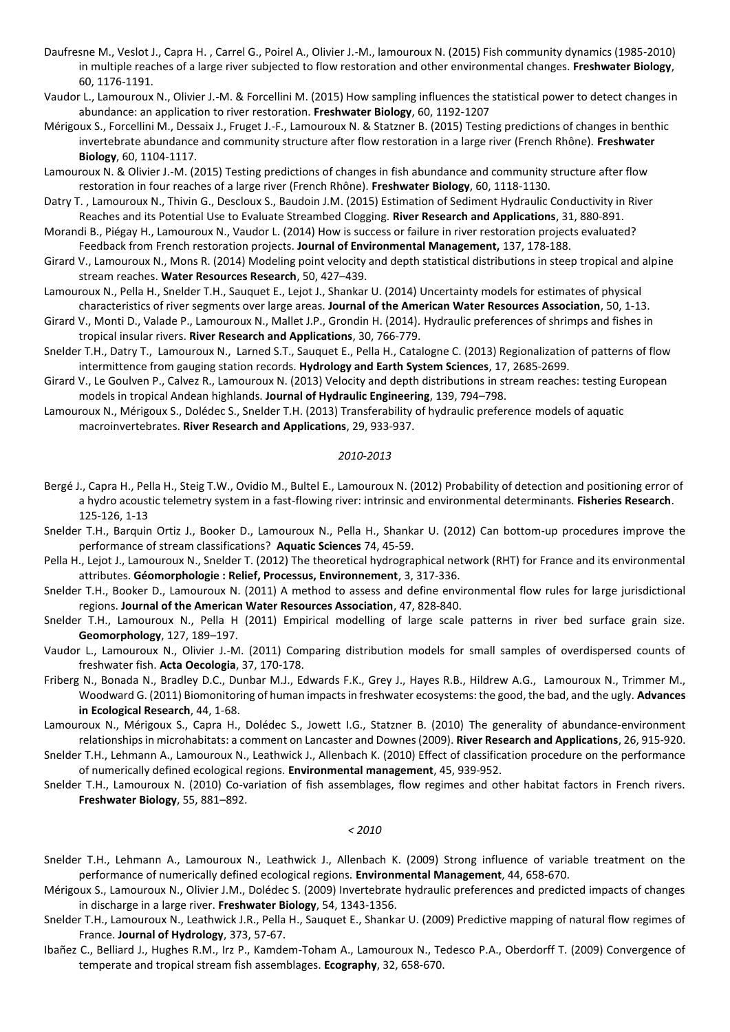- Daufresne M., Veslot J., Capra H. , Carrel G., Poirel A., Olivier J.-M., lamouroux N. (2015) Fish community dynamics (1985-2010) in multiple reaches of a large river subjected to flow restoration and other environmental changes. **Freshwater Biology**, 60, 1176-1191.
- Vaudor L., Lamouroux N., Olivier J.-M. & Forcellini M. (2015) How sampling influences the statistical power to detect changes in abundance: an application to river restoration. **Freshwater Biology**, 60, 1192-1207
- Mérigoux S., Forcellini M., Dessaix J., Fruget J.-F., Lamouroux N. & Statzner B. (2015) Testing predictions of changes in benthic invertebrate abundance and community structure after flow restoration in a large river (French Rhône). **Freshwater Biology**, 60, 1104-1117.
- Lamouroux N. & Olivier J.-M. (2015) Testing predictions of changes in fish abundance and community structure after flow restoration in four reaches of a large river (French Rhône). **Freshwater Biology**, 60, 1118-1130.
- Datry T. , Lamouroux N., Thivin G., Descloux S., Baudoin J.M. (2015) Estimation of Sediment Hydraulic Conductivity in River Reaches and its Potential Use to Evaluate Streambed Clogging. **River Research and Applications**, 31, 880-891.
- Morandi B., Piégay H., Lamouroux N., Vaudor L. (2014) How is success or failure in river restoration projects evaluated? Feedback from French restoration projects. **Journal of Environmental Management,** 137, 178-188.
- Girard V., Lamouroux N., Mons R. (2014) Modeling point velocity and depth statistical distributions in steep tropical and alpine stream reaches. **Water Resources Research**, 50, 427–439.
- Lamouroux N., Pella H., Snelder T.H., Sauquet E., Lejot J., Shankar U. (2014) Uncertainty models for estimates of physical characteristics of river segments over large areas. **Journal of the American Water Resources Association**, 50, 1-13.
- Girard V., Monti D., Valade P., Lamouroux N., Mallet J.P., Grondin H. (2014). Hydraulic preferences of shrimps and fishes in tropical insular rivers. **River Research and Applications**, 30, 766-779.
- Snelder T.H., Datry T., Lamouroux N., Larned S.T., Sauquet E., Pella H., Catalogne C. (2013) Regionalization of patterns of flow intermittence from gauging station records. **Hydrology and Earth System Sciences**, 17, 2685-2699.
- Girard V., Le Goulven P., Calvez R., Lamouroux N. (2013) Velocity and depth distributions in stream reaches: testing European models in tropical Andean highlands. **Journal of Hydraulic Engineering**, 139, 794–798.
- Lamouroux N., Mérigoux S., Dolédec S., Snelder T.H. (2013) Transferability of hydraulic preference models of aquatic macroinvertebrates. **River Research and Applications**, 29, 933-937.

#### *2010-2013*

- Bergé J., Capra H., Pella H., Steig T.W., Ovidio M., Bultel E., Lamouroux N. (2012) Probability of detection and positioning error of a hydro acoustic telemetry system in a fast-flowing river: intrinsic and environmental determinants. **Fisheries Research**. 125-126, 1-13
- Snelder T.H., Barquin Ortiz J., Booker D., Lamouroux N., Pella H., Shankar U. (2012) Can bottom-up procedures improve the performance of stream classifications? **Aquatic Sciences** 74, 45-59.
- Pella H., Lejot J., Lamouroux N., Snelder T. (2012) The theoretical hydrographical network (RHT) for France and its environmental attributes. **Géomorphologie : Relief, Processus, Environnement**, 3, 317-336.
- Snelder T.H., Booker D., Lamouroux N. (2011) A method to assess and define environmental flow rules for large jurisdictional regions. **Journal of the American Water Resources Association**, 47, 828-840.
- Snelder T.H., Lamouroux N., Pella H (2011) Empirical modelling of large scale patterns in river bed surface grain size. **Geomorphology**, 127, 189–197.
- Vaudor L., Lamouroux N., Olivier J.-M. (2011) Comparing distribution models for small samples of overdispersed counts of freshwater fish. **Acta Oecologia**, 37, 170-178.
- Friberg N., Bonada N., Bradley D.C., Dunbar M.J., Edwards F.K., Grey J., Hayes R.B., Hildrew A.G., Lamouroux N., Trimmer M., Woodward G. (2011) Biomonitoring of human impacts in freshwater ecosystems: the good, the bad, and the ugly. **Advances in Ecological Research**, 44, 1-68.
- Lamouroux N., Mérigoux S., Capra H., Dolédec S., Jowett I.G., Statzner B. (2010) The generality of abundance-environment relationships in microhabitats: a comment on Lancaster and Downes (2009). **River Research and Applications**, 26, 915-920.
- Snelder T.H., Lehmann A., Lamouroux N., Leathwick J., Allenbach K. (2010) Effect of classification procedure on the performance of numerically defined ecological regions. **Environmental management**, 45, 939-952.
- Snelder T.H., Lamouroux N. (2010) Co-variation of fish assemblages, flow regimes and other habitat factors in French rivers. **Freshwater Biology**, 55, 881–892.

#### *< 2010*

- Snelder T.H., Lehmann A., Lamouroux N., Leathwick J., Allenbach K. (2009) Strong influence of variable treatment on the performance of numerically defined ecological regions. **Environmental Management**, 44, 658-670.
- Mérigoux S., Lamouroux N., Olivier J.M., Dolédec S. (2009) Invertebrate hydraulic preferences and predicted impacts of changes in discharge in a large river. **Freshwater Biology**, 54, 1343-1356.
- Snelder T.H., Lamouroux N., Leathwick J.R., Pella H., Sauquet E., Shankar U. (2009) Predictive mapping of natural flow regimes of France. **Journal of Hydrology**, 373, 57-67.
- Ibañez C., Belliard J., Hughes R.M., Irz P., Kamdem-Toham A., Lamouroux N., Tedesco P.A., Oberdorff T. (2009) Convergence of temperate and tropical stream fish assemblages. **Ecography**, 32, 658-670.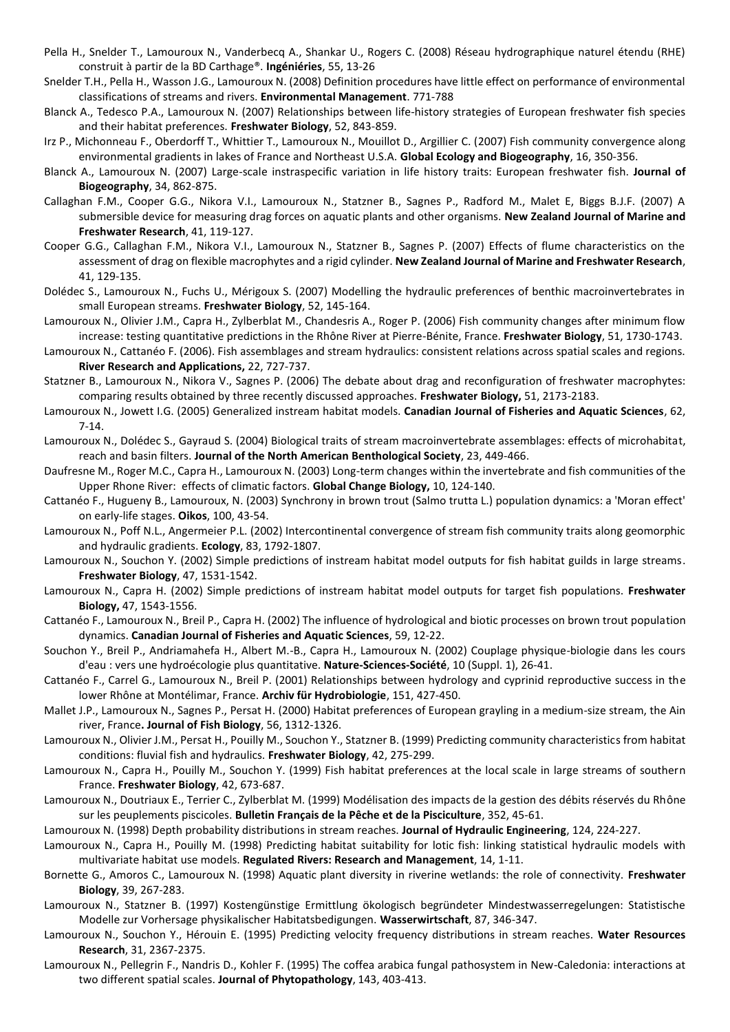- Pella H., Snelder T., Lamouroux N., Vanderbecq A., Shankar U., Rogers C. (2008) Réseau hydrographique naturel étendu (RHE) construit à partir de la BD Carthage®. **Ingéniéries**, 55, 13-26
- Snelder T.H., Pella H., Wasson J.G., Lamouroux N. (2008) Definition procedures have little effect on performance of environmental classifications of streams and rivers. **Environmental Management**. 771-788
- Blanck A., Tedesco P.A., Lamouroux N. (2007) Relationships between life-history strategies of European freshwater fish species and their habitat preferences. **Freshwater Biology**, 52, 843-859.
- Irz P., Michonneau F., Oberdorff T., Whittier T., Lamouroux N., Mouillot D., Argillier C. (2007) Fish community convergence along environmental gradients in lakes of France and Northeast U.S.A. **Global Ecology and Biogeography**, 16, 350-356.
- Blanck A., Lamouroux N. (2007) Large-scale instraspecific variation in life history traits: European freshwater fish. **Journal of Biogeography**, 34, 862-875.
- Callaghan F.M., Cooper G.G., Nikora V.I., Lamouroux N., Statzner B., Sagnes P., Radford M., Malet E, Biggs B.J.F. (2007) A submersible device for measuring drag forces on aquatic plants and other organisms. **New Zealand Journal of Marine and Freshwater Research**, 41, 119-127.
- Cooper G.G., Callaghan F.M., Nikora V.I., Lamouroux N., Statzner B., Sagnes P. (2007) Effects of flume characteristics on the assessment of drag on flexible macrophytes and a rigid cylinder. **New Zealand Journal of Marine and Freshwater Research**, 41, 129-135.
- Dolédec S., Lamouroux N., Fuchs U., Mérigoux S. (2007) Modelling the hydraulic preferences of benthic macroinvertebrates in small European streams. **Freshwater Biology**, 52, 145-164.
- Lamouroux N., Olivier J.M., Capra H., Zylberblat M., Chandesris A., Roger P. (2006) Fish community changes after minimum flow increase: testing quantitative predictions in the Rhône River at Pierre-Bénite, France. **Freshwater Biology**, 51, 1730-1743.
- Lamouroux N., Cattanéo F. (2006). Fish assemblages and stream hydraulics: consistent relations across spatial scales and regions. **River Research and Applications,** 22, 727-737.
- Statzner B., Lamouroux N., Nikora V., Sagnes P. (2006) The debate about drag and reconfiguration of freshwater macrophytes: comparing results obtained by three recently discussed approaches. **Freshwater Biology,** 51, 2173-2183.
- Lamouroux N., Jowett I.G. (2005) Generalized instream habitat models. **Canadian Journal of Fisheries and Aquatic Sciences**, 62, 7-14.
- Lamouroux N., Dolédec S., Gayraud S. (2004) Biological traits of stream macroinvertebrate assemblages: effects of microhabitat, reach and basin filters. **Journal of the North American Benthological Society**, 23, 449-466.
- Daufresne M., Roger M.C., Capra H., Lamouroux N. (2003) Long-term changes within the invertebrate and fish communities of the Upper Rhone River: effects of climatic factors. **Global Change Biology,** 10, 124-140.
- Cattanéo F., Hugueny B., Lamouroux, N. (2003) Synchrony in brown trout (Salmo trutta L.) population dynamics: a 'Moran effect' on early-life stages. **Oikos**, 100, 43-54.
- Lamouroux N., Poff N.L., Angermeier P.L. (2002) Intercontinental convergence of stream fish community traits along geomorphic and hydraulic gradients. **Ecology**, 83, 1792-1807.
- Lamouroux N., Souchon Y. (2002) Simple predictions of instream habitat model outputs for fish habitat guilds in large streams. **Freshwater Biology**, 47, 1531-1542.
- Lamouroux N., Capra H. (2002) Simple predictions of instream habitat model outputs for target fish populations. **Freshwater Biology,** 47, 1543-1556.
- Cattanéo F., Lamouroux N., Breil P., Capra H. (2002) The influence of hydrological and biotic processes on brown trout population dynamics. **Canadian Journal of Fisheries and Aquatic Sciences**, 59, 12-22.
- Souchon Y., Breil P., Andriamahefa H., Albert M.-B., Capra H., Lamouroux N. (2002) Couplage physique-biologie dans les cours d'eau : vers une hydroécologie plus quantitative. **Nature-Sciences-Société**, 10 (Suppl. 1), 26-41.
- Cattanéo F., Carrel G., Lamouroux N., Breil P. (2001) Relationships between hydrology and cyprinid reproductive success in the lower Rhône at Montélimar, France. **Archiv für Hydrobiologie**, 151, 427-450.
- Mallet J.P., Lamouroux N., Sagnes P., Persat H. (2000) Habitat preferences of European grayling in a medium-size stream, the Ain river, France**. Journal of Fish Biology**, 56, 1312-1326.
- Lamouroux N., Olivier J.M., Persat H., Pouilly M., Souchon Y., Statzner B. (1999) Predicting community characteristics from habitat conditions: fluvial fish and hydraulics. **Freshwater Biology**, 42, 275-299.
- Lamouroux N., Capra H., Pouilly M., Souchon Y. (1999) Fish habitat preferences at the local scale in large streams of southern France. **Freshwater Biology**, 42, 673-687.
- Lamouroux N., Doutriaux E., Terrier C., Zylberblat M. (1999) Modélisation des impacts de la gestion des débits réservés du Rhône sur les peuplements piscicoles. **Bulletin Français de la Pêche et de la Pisciculture**, 352, 45-61.
- Lamouroux N. (1998) Depth probability distributions in stream reaches. **Journal of Hydraulic Engineering**, 124, 224-227.
- Lamouroux N., Capra H., Pouilly M. (1998) Predicting habitat suitability for lotic fish: linking statistical hydraulic models with multivariate habitat use models. **Regulated Rivers: Research and Management**, 14, 1-11.
- Bornette G., Amoros C., Lamouroux N. (1998) Aquatic plant diversity in riverine wetlands: the role of connectivity. **Freshwater Biology**, 39, 267-283.
- Lamouroux N., Statzner B. (1997) Kostengünstige Ermittlung ökologisch begründeter Mindestwasserregelungen: Statistische Modelle zur Vorhersage physikalischer Habitatsbedigungen. **Wasserwirtschaft**, 87, 346-347.
- Lamouroux N., Souchon Y., Hérouin E. (1995) Predicting velocity frequency distributions in stream reaches. **Water Resources Research**, 31, 2367-2375.
- Lamouroux N., Pellegrin F., Nandris D., Kohler F. (1995) The coffea arabica fungal pathosystem in New-Caledonia: interactions at two different spatial scales. **Journal of Phytopathology**, 143, 403-413.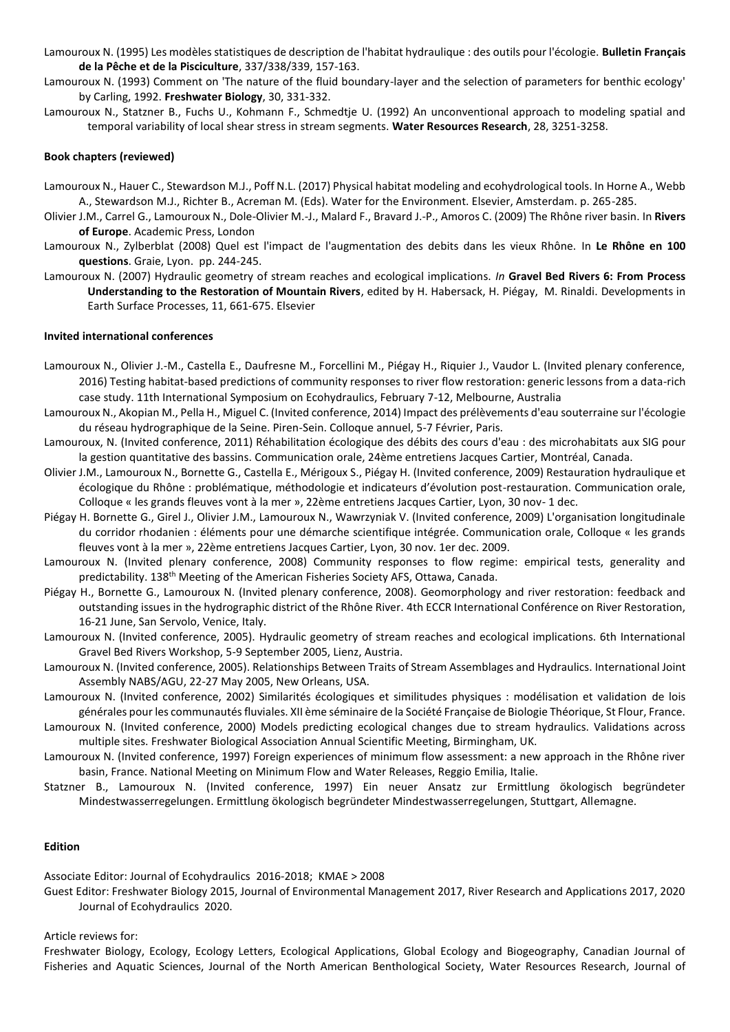- Lamouroux N. (1995) Les modèles statistiques de description de l'habitat hydraulique : des outils pour l'écologie. **Bulletin Français de la Pêche et de la Pisciculture**, 337/338/339, 157-163.
- Lamouroux N. (1993) Comment on 'The nature of the fluid boundary-layer and the selection of parameters for benthic ecology' by Carling, 1992. **Freshwater Biology**, 30, 331-332.
- Lamouroux N., Statzner B., Fuchs U., Kohmann F., Schmedtje U. (1992) An unconventional approach to modeling spatial and temporal variability of local shear stress in stream segments. **Water Resources Research**, 28, 3251-3258.

### **Book chapters (reviewed)**

- Lamouroux N., Hauer C., Stewardson M.J., Poff N.L. (2017) Physical habitat modeling and ecohydrological tools. In Horne A., Webb A., Stewardson M.J., Richter B., Acreman M. (Eds). Water for the Environment. Elsevier, Amsterdam. p. 265-285.
- Olivier J.M., Carrel G., Lamouroux N., Dole-Olivier M.-J., Malard F., Bravard J.-P., Amoros C. (2009) The Rhône river basin. In **Rivers of Europe**. Academic Press, London
- Lamouroux N., Zylberblat (2008) Quel est l'impact de l'augmentation des debits dans les vieux Rhône. In **Le Rhône en 100 questions**. Graie, Lyon. pp. 244-245.
- Lamouroux N. (2007) Hydraulic geometry of stream reaches and ecological implications. *In* **Gravel Bed Rivers 6: From Process Understanding to the Restoration of Mountain Rivers**, edited by H. Habersack, H. Piégay, M. Rinaldi. Developments in Earth Surface Processes, 11, 661-675. Elsevier

#### **Invited international conferences**

- Lamouroux N., Olivier J.-M., Castella E., Daufresne M., Forcellini M., Piégay H., Riquier J., Vaudor L. (Invited plenary conference, 2016) Testing habitat-based predictions of community responses to river flow restoration: generic lessons from a data-rich case study. 11th International Symposium on Ecohydraulics, February 7-12, Melbourne, Australia
- Lamouroux N., Akopian M., Pella H., Miguel C. (Invited conference, 2014) Impact des prélèvements d'eau souterraine sur l'écologie du réseau hydrographique de la Seine. Piren-Sein. Colloque annuel, 5-7 Février, Paris.
- Lamouroux, N. (Invited conference, 2011) Réhabilitation écologique des débits des cours d'eau : des microhabitats aux SIG pour la gestion quantitative des bassins. Communication orale, 24ème entretiens Jacques Cartier, Montréal, Canada.
- Olivier J.M., Lamouroux N., Bornette G., Castella E., Mérigoux S., Piégay H. (Invited conference, 2009) Restauration hydraulique et écologique du Rhône : problématique, méthodologie et indicateurs d'évolution post-restauration. Communication orale, Colloque « les grands fleuves vont à la mer », 22ème entretiens Jacques Cartier, Lyon, 30 nov- 1 dec.
- Piégay H. Bornette G., Girel J., Olivier J.M., Lamouroux N., Wawrzyniak V. (Invited conference, 2009) L'organisation longitudinale du corridor rhodanien : éléments pour une démarche scientifique intégrée. Communication orale, Colloque « les grands fleuves vont à la mer », 22ème entretiens Jacques Cartier, Lyon, 30 nov. 1er dec. 2009.
- Lamouroux N. (Invited plenary conference, 2008) Community responses to flow regime: empirical tests, generality and predictability. 138th Meeting of the American Fisheries Society AFS, Ottawa, Canada.
- Piégay H., Bornette G., Lamouroux N. (Invited plenary conference, 2008). Geomorphology and river restoration: feedback and outstanding issues in the hydrographic district of the Rhône River. 4th ECCR International Conférence on River Restoration, 16-21 June, San Servolo, Venice, Italy.
- Lamouroux N. (Invited conference, 2005). Hydraulic geometry of stream reaches and ecological implications. 6th International Gravel Bed Rivers Workshop, 5-9 September 2005, Lienz, Austria.
- Lamouroux N. (Invited conference, 2005). Relationships Between Traits of Stream Assemblages and Hydraulics. International Joint Assembly NABS/AGU, 22-27 May 2005, New Orleans, USA.
- Lamouroux N. (Invited conference, 2002) Similarités écologiques et similitudes physiques : modélisation et validation de lois générales pour les communautés fluviales. XII ème séminaire de la Société Française de Biologie Théorique, St Flour, France.
- Lamouroux N. (Invited conference, 2000) Models predicting ecological changes due to stream hydraulics. Validations across multiple sites. Freshwater Biological Association Annual Scientific Meeting, Birmingham, UK.
- Lamouroux N. (Invited conference, 1997) Foreign experiences of minimum flow assessment: a new approach in the Rhône river basin, France. National Meeting on Minimum Flow and Water Releases, Reggio Emilia, Italie.
- Statzner B., Lamouroux N. (Invited conference, 1997) Ein neuer Ansatz zur Ermittlung ökologisch begründeter Mindestwasserregelungen. Ermittlung ökologisch begründeter Mindestwasserregelungen, Stuttgart, Allemagne.

### **Edition**

Associate Editor: Journal of Ecohydraulics 2016-2018; KMAE > 2008

Guest Editor: Freshwater Biology 2015, Journal of Environmental Management 2017, River Research and Applications 2017, 2020 Journal of Ecohydraulics 2020.

Article reviews for:

Freshwater Biology, Ecology, Ecology Letters, Ecological Applications, Global Ecology and Biogeography, Canadian Journal of Fisheries and Aquatic Sciences, Journal of the North American Benthological Society, Water Resources Research, Journal of